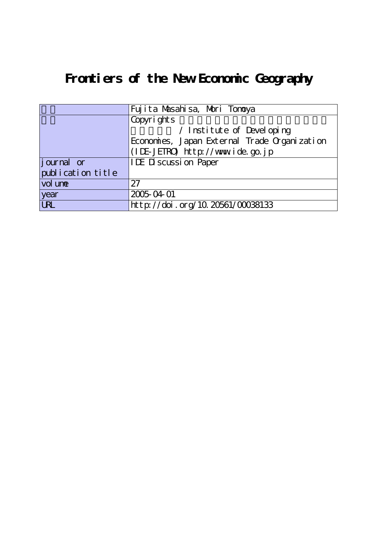# **Frontiers of the New Economic Geography**

|                   | Fujita Masahisa, Mori Tonova                 |
|-------------------|----------------------------------------------|
|                   | Copyrights                                   |
|                   | / Institute of Developing                    |
|                   | Economies, Japan External Trade Organization |
|                   | (IDE-JETRO) http://www.ide.go.jp             |
| journal or        | IDE Discussion Paper                         |
| publication title |                                              |
| vol une           | 27                                           |
| year              | 2005-04-01                                   |
| <b>URL</b>        | http://doi.org/10.20561/00038133             |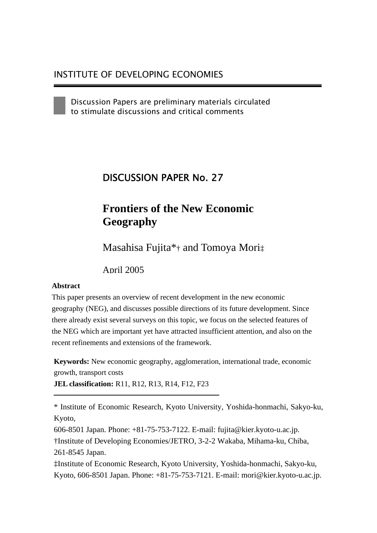Discussion Papers are preliminary materials circulated to stimulate discussions and critical comments

## DISCUSSION PAPER No. 27

## **Frontiers of the New Economic Geography**

Masahisa Fujita\*† and Tomoya Mori‡

April 2005

## **Abstract**

This paper presents an overview of recent development in the new economic geography (NEG), and discusses possible directions of its future development. Since there already exist several surveys on this topic, we focus on the selected features of the NEG which are important yet have attracted insufficient attention, and also on the recent refinements and extensions of the framework.

**Keywords:** New economic geography, agglomeration, international trade, economic growth, transport costs

**JEL classification:** R11, R12, R13, R14, F12, F23

\* Institute of Economic Research, Kyoto University, Yoshida-honmachi, Sakyo-ku, Kyoto,

606-8501 Japan. Phone: +81-75-753-7122. E-mail: fujita@kier.kyoto-u.ac.jp. †Institute of Developing Economies/JETRO, 3-2-2 Wakaba, Mihama-ku, Chiba, 261-8545 Japan.

‡Institute of Economic Research, Kyoto University, Yoshida-honmachi, Sakyo-ku, Kyoto, 606-8501 Japan. Phone: +81-75-753-7121. E-mail: mori@kier.kyoto-u.ac.jp.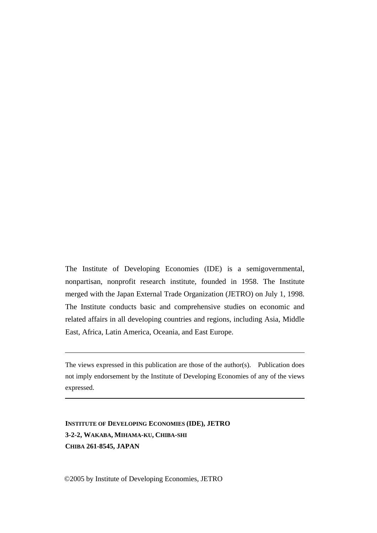The Institute of Developing Economies (IDE) is a semigovernmental, nonpartisan, nonprofit research institute, founded in 1958. The Institute merged with the Japan External Trade Organization (JETRO) on July 1, 1998. The Institute conducts basic and comprehensive studies on economic and related affairs in all developing countries and regions, including Asia, Middle East, Africa, Latin America, Oceania, and East Europe.

The views expressed in this publication are those of the author(s). Publication does not imply endorsement by the Institute of Developing Economies of any of the views expressed.

**INSTITUTE OF DEVELOPING ECONOMIES (IDE), JETRO 3-2-2, WAKABA, MIHAMA-KU, CHIBA-SHI CHIBA 261-8545, JAPAN**

©2005 by Institute of Developing Economies, JETRO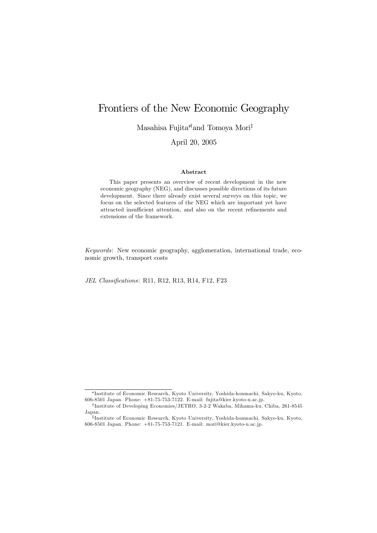## Frontiers of the New Economic Geography

Masahisa Fujita\*†and Tomoya Mori‡

April 20, 2005

#### Abstract

This paper presents an overview of recent development in the new economic geography (NEG), and discusses possible directions of its future development. Since there already exist several surveys on this topic, we focus on the selected features of the NEG which are important yet have attracted insufficient attention, and also on the recent refinements and extensions of the framework.

Keywords: New economic geography, agglomeration, international trade, economic growth, transport costs

JEL Classifications: R11, R12, R13, R14, F12, F23

<sup>∗</sup>Institute of Economic Research, Kyoto University, Yoshida-honmachi, Sakyo-ku, Kyoto, 606-8501 Japan. Phone: +81-75-753-7122. E-mail: fujita@kier.kyoto-u.ac.jp.

<sup>†</sup>Institute of Developing Economies/JETRO, 3-2-2 Wakaba, Mihama-ku, Chiba, 261-8545 Japan.

<sup>‡</sup>Institute of Economic Research, Kyoto University, Yoshida-honmachi, Sakyo-ku, Kyoto, 606-8501 Japan. Phone: +81-75-753-7121. E-mail: mori@kier.kyoto-u.ac.jp.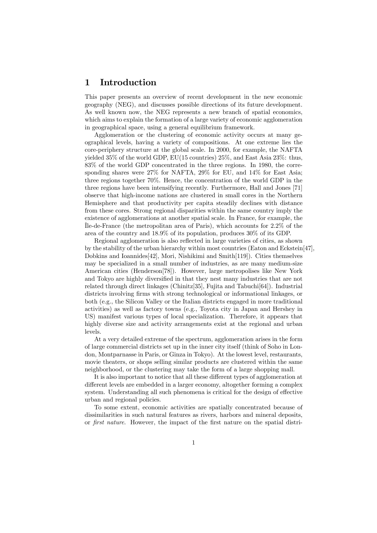## 1 Introduction

This paper presents an overview of recent development in the new economic geography (NEG), and discusses possible directions of its future development. As well known now, the NEG represents a new branch of spatial economics, which aims to explain the formation of a large variety of economic agglomeration in geographical space, using a general equilibrium framework.

Agglomeration or the clustering of economic activity occurs at many geographical levels, having a variety of compositions. At one extreme lies the core-periphery structure at the global scale. In 2000, for example, the NAFTA yielded 35% of the world GDP, EU(15 countries) 25%, and East Asia 23%: thus, 83% of the world GDP concentrated in the three regions. In 1980, the corresponding shares were  $27\%$  for NAFTA,  $29\%$  for EU, and  $14\%$  for East Asia; three regions together 70%. Hence, the concentration of the world GDP in the three regions have been intensifying recently. Furthermore, Hall and Jones [71] observe that high-income nations are clustered in small cores in the Northern Hemisphere and that productivity per capita steadily declines with distance from these cores. Strong regional disparities within the same country imply the existence of agglomerations at another spatial scale. In France, for example, the Île-de-France (the metropolitan area of Paris), which accounts for 2.2% of the area of the country and 18.9% of its population, produces 30% of its GDP.

Regional agglomeration is also reflected in large varieties of cities, as shown by the stability of the urban hierarchy within most countries (Eaton and Eckstein[47], Dobkins and Ioannides[42], Mori, Nishikimi and Smith[119]). Cities themselves may be specialized in a small number of industries, as are many medium-size American cities (Henderson[78]). However, large metropolises like New York and Tokyo are highly diversified in that they nest many industries that are not related through direct linkages (Chinitz[35], Fujita and Tabuchi[64]). Industrial districts involving firms with strong technological or informational linkages, or both (e.g., the Silicon Valley or the Italian districts engaged in more traditional activities) as well as factory towns (e.g., Toyota city in Japan and Hershey in US) manifest various types of local specialization. Therefore, it appears that highly diverse size and activity arrangements exist at the regional and urban levels.

At a very detailed extreme of the spectrum, agglomeration arises in the form of large commercial districts set up in the inner city itself (think of Soho in London, Montparnasse in Paris, or Ginza in Tokyo). At the lowest level, restaurants, movie theaters, or shops selling similar products are clustered within the same neighborhood, or the clustering may take the form of a large shopping mall.

It is also important to notice that all these different types of agglomeration at different levels are embedded in a larger economy, altogether forming a complex system. Understanding all such phenomena is critical for the design of effective urban and regional policies.

To some extent, economic activities are spatially concentrated because of dissimilarities in such natural features as rivers, harbors and mineral deposits, or first nature. However, the impact of the first nature on the spatial distri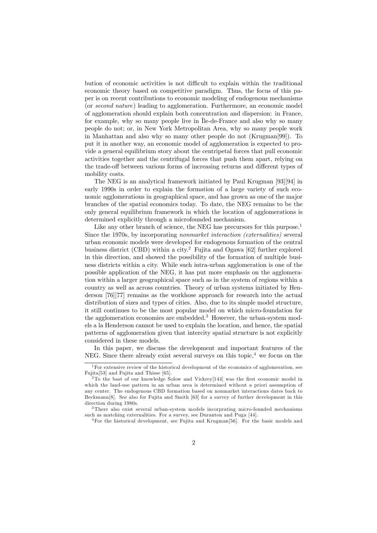bution of economic activities is not difficult to explain within the traditional economic theory based on competitive paradigm. Thus, the focus of this paper is on recent contributions to economic modeling of endogenous mechanisms (or second nature) leading to agglomeration. Furthermore, an economic model of agglomeration should explain both concentration and dispersion: in France, for example, why so many people live in Île-de-France and also why so many people do not; or, in New York Metropolitan Area, why so many people work in Manhattan and also why so many other people do not (Krugman[99]). To put it in another way, an economic model of agglomeration is expected to provide a general equilibrium story about the centripetal forces that pull economic activities together and the centrifugal forces that push them apart, relying on the trade-off between various forms of increasing returns and different types of mobility costs.

The NEG is an analytical framework initiated by Paul Krugman [93][94] in early 1990s in order to explain the formation of a large variety of such economic agglomerations in geographical space, and has grown as one of the major branches of the spatial economics today. To date, the NEG remains to be the only general equilibrium framework in which the location of agglomerations is determined explicitly through a microfounded mechanism.

Like any other branch of science, the NEG has precursors for this purpose.<sup>1</sup> Since the 1970s, by incorporating nonmarket interaction (externalities) several urban economic models were developed for endogenous formation of the central business district (CBD) within a city.<sup>2</sup> Fujita and Ogawa [62] further explored in this direction, and showed the possibility of the formation of multiple business districts within a city. While such intra-urban agglomeration is one of the possible application of the NEG, it has put more emphasis on the agglomeration within a larger geographical space such as in the system of regions within a country as well as across countries. Theory of urban systems initiated by Henderson [76][77] remains as the workhose approach for research into the actual distribution of sizes and types of cities. Also, due to its simple model structure, it still continues to be the most popular model on which micro-foundation for the agglomeration economies are embedded.<sup>3</sup> However, the urban-system models a la Henderson cannot be used to explain the location, and hence, the spatial patterns of agglomeration given that intercity spatial structure is not explicitly considered in these models.

In this paper, we discuss the development and important features of the NEG. Since there already exist several surveys on this topic,  $4$  we focus on the

<sup>1</sup>For extensive review of the historical development of the economics of agglomeration, see Fujita[53] and Fujita and Thisse [65].

<sup>&</sup>lt;sup>2</sup>To the bast of our knowledge Solow and Vickrey[144] was the first economic model in which the land-use pattern in an urban area is determined without a priori assumption of any center. The endogenous CBD formation based on nonmarket interactions dates back to Beckmann[8]. See also for Fujita and Smith [63] for a survey of further development in this direction during 1980s.

<sup>3</sup>There also exist several urban-system models incorprating micro-founded mechanisms such as matching externalities. For a survey, see Duranton and Puga [44].

<sup>4</sup>For the historical development, see Fujita and Krugman[56]. For the basic models and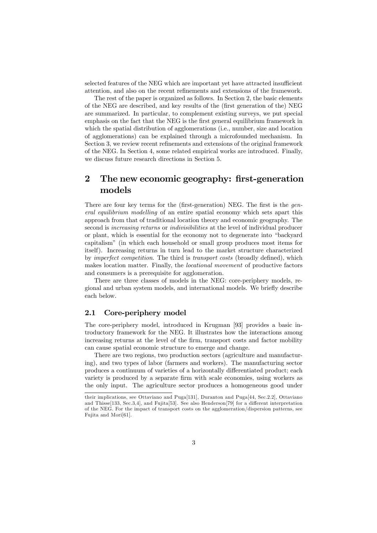selected features of the NEG which are important yet have attracted insufficient attention, and also on the recent refinements and extensions of the framework.

The rest of the paper is organized as follows. In Section 2, the basic elements of the NEG are described, and key results of the (first generation of the) NEG are summarized. In particular, to complement existing surveys, we put special emphasis on the fact that the NEG is the first general equilibrium framework in which the spatial distribution of agglomerations (i.e., number, size and location of agglomerations) can be explained through a microfounded mechanism. In Section 3, we review recent refinements and extensions of the original framework of the NEG. In Section 4, some related empirical works are introduced. Finally, we discuss future research directions in Section 5.

## 2 The new economic geography: first-generation models

There are four key terms for the (first-generation) NEG. The first is the general equilibrium modelling of an entire spatial economy which sets apart this approach from that of traditional location theory and economic geography. The second is *increasing returns* or *indivisibilities* at the level of individual producer or plant, which is essential for the economy not to degenerate into "backyard capitalism" (in which each household or small group produces most items for itself). Increasing returns in turn lead to the market structure characterized by imperfect competition. The third is transport costs (broadly defined), which makes location matter. Finally, the locational movement of productive factors and consumers is a prerequisite for agglomeration.

There are three classes of models in the NEG: core-periphery models, regional and urban system models, and international models. We briefly describe each below.

#### 2.1 Core-periphery model

The core-periphery model, introduced in Krugman [93] provides a basic introductory framework for the NEG. It illustrates how the interactions among increasing returns at the level of the firm, transport costs and factor mobility can cause spatial economic structure to emerge and change.

There are two regions, two production sectors (agriculture and manufacturing), and two types of labor (farmers and workers). The manufacturing sector produces a continuum of varieties of a horizontally differentiated product; each variety is produced by a separate firm with scale economies, using workers as the only input. The agriculture sector produces a homogeneous good under

their implications, see Ottaviano and Puga[131], Duranton and Puga[44, Sec.2.2], Ottaviano and Thisse[133, Sec.3,4], and Fujita[53]. See also Henderson[79] for a different interpretation of the NEG. For the impact of transport costs on the agglomeration/dispersion patterns, see Fujita and Mori[61].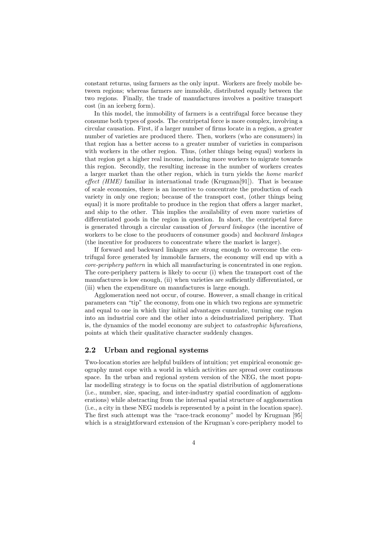constant returns, using farmers as the only input. Workers are freely mobile between regions; whereas farmers are immobile, distributed equally between the two regions. Finally, the trade of manufactures involves a positive transport cost (in an iceberg form).

In this model, the immobility of farmers is a centrifugal force because they consume both types of goods. The centripetal force is more complex, involving a circular causation. First, if a larger number of firms locate in a region, a greater number of varieties are produced there. Then, workers (who are consumers) in that region has a better access to a greater number of varieties in comparison with workers in the other region. Thus, (other things being equal) workers in that region get a higher real income, inducing more workers to migrate towards this region. Secondly, the resulting increase in the number of workers creates a larger market than the other region, which in turn yields the home market  $effect$  (HME) familiar in international trade (Krugman[91]). That is because of scale economies, there is an incentive to concentrate the production of each variety in only one region; because of the transport cost, (other things being equal) it is more profitable to produce in the region that offers a larger market, and ship to the other. This implies the availability of even more varieties of differentiated goods in the region in question. In short, the centripetal force is generated through a circular causation of forward linkages (the incentive of workers to be close to the producers of consumer goods) and *backward linkages* (the incentive for producers to concentrate where the market is larger).

If forward and backward linkages are strong enough to overcome the centrifugal force generated by immobile farmers, the economy will end up with a core-periphery pattern in which all manufacturing is concentrated in one region. The core-periphery pattern is likely to occur (i) when the transport cost of the manufactures is low enough, (ii) when varieties are sufficiently differentiated, or (iii) when the expenditure on manufactures is large enough.

Agglomeration need not occur, of course. However, a small change in critical parameters can "tip" the economy, from one in which two regions are symmetric and equal to one in which tiny initial advantages cumulate, turning one region into an industrial core and the other into a deindustrialized periphery. That is, the dynamics of the model economy are subject to catastrophic bifurcations, points at which their qualitative character suddenly changes.

#### 2.2 Urban and regional systems

Two-location stories are helpful builders of intuition; yet empirical economic geography must cope with a world in which activities are spread over continuous space. In the urban and regional system version of the NEG, the most popular modelling strategy is to focus on the spatial distribution of agglomerations (i.e., number, size, spacing, and inter-industry spatial coordination of agglomerations) while abstracting from the internal spatial structure of agglomeration (i.e., a city in these NEG models is represented by a point in the location space). The first such attempt was the "race-track economy" model by Krugman [95] which is a straightforward extension of the Krugman's core-periphery model to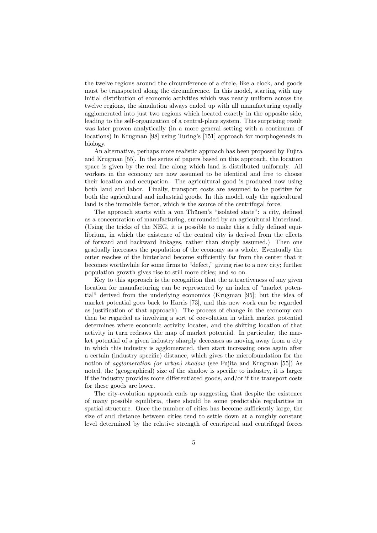the twelve regions around the circumference of a circle, like a clock, and goods must be transported along the circumference. In this model, starting with any initial distribution of economic activities which was nearly uniform across the twelve regions, the simulation always ended up with all manufacturing equally agglomerated into just two regions which located exactly in the opposite side, leading to the self-organization of a central-place system. This surprising result was later proven analytically (in a more general setting with a continuum of locations) in Krugman [98] using Turing's [151] approach for morphogenesis in biology.

An alternative, perhaps more realistic approach has been proposed by Fujita and Krugman [55]. In the series of papers based on this approach, the location space is given by the real line along which land is distributed uniformly. All workers in the economy are now assumed to be identical and free to choose their location and occupation. The agricultural good is produced now using both land and labor. Finally, transport costs are assumed to be positive for both the agricultural and industrial goods. In this model, only the agricultural land is the immobile factor, which is the source of the centrifugal force.

The approach starts with a von Thünen's "isolated state": a city, defined as a concentration of manufacturing, surrounded by an agricultural hinterland. (Using the tricks of the NEG, it is possible to make this a fully defined equilibrium, in which the existence of the central city is derived from the effects of forward and backward linkages, rather than simply assumed.) Then one gradually increases the population of the economy as a whole. Eventually the outer reaches of the hinterland become sufficiently far from the center that it becomes worthwhile for some firms to "defect," giving rise to a new city; further population growth gives rise to still more cities; and so on.

Key to this approach is the recognition that the attractiveness of any given location for manufacturing can be represented by an index of "market potential" derived from the underlying economics (Krugman [95]; but the idea of market potential goes back to Harris [73], and this new work can be regarded as justification of that approach). The process of change in the economy can then be regarded as involving a sort of coevolution in which market potential determines where economic activity locates, and the shifting location of that activity in turn redraws the map of market potential. In particular, the market potential of a given industry sharply decreases as moving away from a city in which this industry is agglomerated, then start increasing once again after a certain (industry specific) distance, which gives the microfoundation for the notion of agglomeration (or urban) shadow (see Fujita and Krugman [55]) As noted, the (geographical) size of the shadow is specific to industry, it is larger if the industry provides more differentiated goods, and/or if the transport costs for these goods are lower.

The city-evolution approach ends up suggesting that despite the existence of many possible equilibria, there should be some predictable regularities in spatial structure. Once the number of cities has become sufficiently large, the size of and distance between cities tend to settle down at a roughly constant level determined by the relative strength of centripetal and centrifugal forces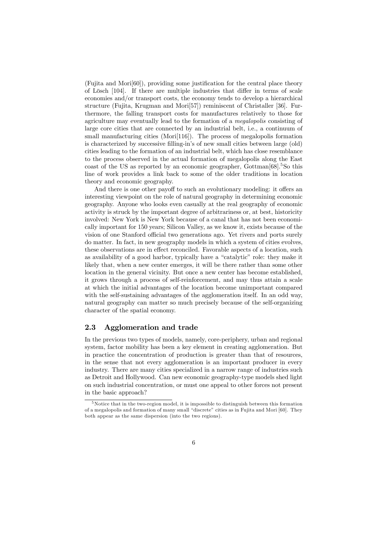(Fujita and Mori[60]), providing some justification for the central place theory of Lösch [104]. If there are multiple industries that differ in terms of scale economies and/or transport costs, the economy tends to develop a hierarchical structure (Fujita, Krugman and Mori[57]) reminiscent of Christaller [36]. Furthermore, the falling transport costs for manufactures relatively to those for agriculture may eventually lead to the formation of a megalopolis consisting of large core cities that are connected by an industrial belt, i.e., a continuum of small manufacturing cities (Mori[116]). The process of megalopolis formation is characterized by successive filling-in's of new small cities between large (old) cities leading to the formation of an industrial belt, which has close resemblance to the process observed in the actual formation of megalopolis along the East coast of the US as reported by an economic geographer, Gottman<sup>[68]</sup>.<sup>5</sup>So this line of work provides a link back to some of the older traditions in location theory and economic geography.

And there is one other payoff to such an evolutionary modeling: it offers an interesting viewpoint on the role of natural geography in determining economic geography. Anyone who looks even casually at the real geography of economic activity is struck by the important degree of arbitrariness or, at best, historicity involved: New York is New York because of a canal that has not been economically important for 150 years; Silicon Valley, as we know it, exists because of the vision of one Stanford official two generations ago. Yet rivers and ports surely do matter. In fact, in new geography models in which a system of cities evolves, these observations are in effect reconciled. Favorable aspects of a location, such as availability of a good harbor, typically have a "catalytic" role: they make it likely that, when a new center emerges, it will be there rather than some other location in the general vicinity. But once a new center has become established, it grows through a process of self-reinforcement, and may thus attain a scale at which the initial advantages of the location become unimportant compared with the self-sustaining advantages of the agglomeration itself. In an odd way, natural geography can matter so much precisely because of the self-organizing character of the spatial economy.

#### 2.3 Agglomeration and trade

In the previous two types of models, namely, core-periphery, urban and regional system, factor mobility has been a key element in creating agglomeration. But in practice the concentration of production is greater than that of resources, in the sense that not every agglomeration is an important producer in every industry. There are many cities specialized in a narrow range of industries such as Detroit and Hollywood. Can new economic geography-type models shed light on such industrial concentration, or must one appeal to other forces not present in the basic approach?

<sup>5</sup>Notice that in the two-region model, it is impossible to distinguish between this formation of a megalopolis and formation of many small "discrete" cities as in Fujita and Mori [60]. They both appear as the same dispersion (into the two regions).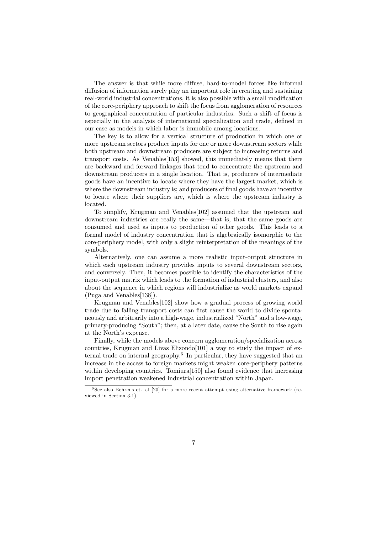The answer is that while more diffuse, hard-to-model forces like informal diffusion of information surely play an important role in creating and sustaining real-world industrial concentrations, it is also possible with a small modification of the core-periphery approach to shift the focus from agglomeration of resources to geographical concentration of particular industries. Such a shift of focus is especially in the analysis of international specialization and trade, defined in our case as models in which labor is immobile among locations.

The key is to allow for a vertical structure of production in which one or more upstream sectors produce inputs for one or more downstream sectors while both upstream and downstream producers are subject to increasing returns and transport costs. As Venables[153] showed, this immediately means that there are backward and forward linkages that tend to concentrate the upstream and downstream producers in a single location. That is, producers of intermediate goods have an incentive to locate where they have the largest market, which is where the downstream industry is; and producers of final goods have an incentive to locate where their suppliers are, which is where the upstream industry is located.

To simplify, Krugman and Venables[102] assumed that the upstream and downstream industries are really the same–that is, that the same goods are consumed and used as inputs to production of other goods. This leads to a formal model of industry concentration that is algebraically isomorphic to the core-periphery model, with only a slight reinterpretation of the meanings of the symbols.

Alternatively, one can assume a more realistic input-output structure in which each upstream industry provides inputs to several downstream sectors, and conversely. Then, it becomes possible to identify the characteristics of the input-output matrix which leads to the formation of industrial clusters, and also about the sequence in which regions will industrialize as world markets expand (Puga and Venables[138]).

Krugman and Venables[102] show how a gradual process of growing world trade due to falling transport costs can first cause the world to divide spontaneously and arbitrarily into a high-wage, industrialized "North" and a low-wage, primary-producing "South"; then, at a later date, cause the South to rise again at the North's expense.

Finally, while the models above concern agglomeration/specialization across countries, Krugman and Livas Elizondo[101] a way to study the impact of external trade on internal geography.<sup>6</sup> In particular, they have suggested that an increase in the access to foreign markets might weaken core-periphery patterns within developing countries. Tomiura<sup>[150]</sup> also found evidence that increasing import penetration weakened industrial concentration within Japan.

 $6$  See also Behrens et. al [20] for a more recent attempt using alternative framework (reviewed in Section 3.1).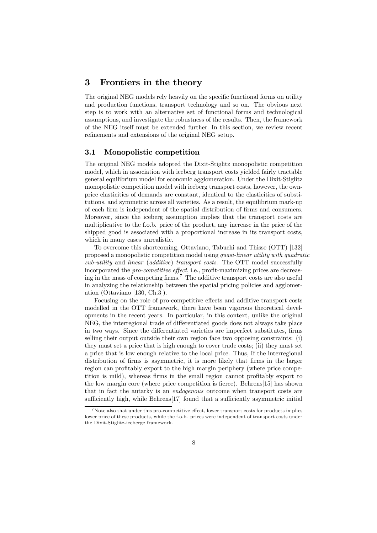### 3 Frontiers in the theory

The original NEG models rely heavily on the specific functional forms on utility and production functions, transport technology and so on. The obvious next step is to work with an alternative set of functional forms and technological assumptions, and investigate the robustness of the results. Then, the framework of the NEG itself must be extended further. In this section, we review recent refinements and extensions of the original NEG setup.

#### 3.1 Monopolistic competition

The original NEG models adopted the Dixit-Stiglitz monopolistic competition model, which in association with iceberg transport costs yielded fairly tractable general equilibrium model for economic agglomeration. Under the Dixit-Stiglitz monopolistic competition model with iceberg transport costs, however, the ownprice elasticities of demands are constant, identical to the elasticities of substitutions, and symmetric across all varieties. As a result, the equilibrium mark-up of each firm is independent of the spatial distribution of firms and consumers. Moreover, since the iceberg assumption implies that the transport costs are multiplicative to the f.o.b. price of the product, any increase in the price of the shipped good is associated with a proportional increase in its transport costs, which in many cases unrealistic.

To overcome this shortcoming, Ottaviano, Tabuchi and Thisse (OTT) [132] proposed a monopolistic competition model using quasi-linear utility with quadratic sub-utility and linear (additive) transport costs. The OTT model successfully incorporated the pro-cometitive effect, i.e., profit-maximizing prices are decreasing in the mass of competing firms.<sup>7</sup> The additive transport costs are also useful in analyzing the relationship between the spatial pricing policies and agglomeration (Ottaviano [130, Ch.3]).

Focusing on the role of pro-competitive effects and additive transport costs modelled in the OTT framework, there have been vigorous theoretical developments in the recent years. In particular, in this context, unlike the original NEG, the interregional trade of differentiated goods does not always take place in two ways. Since the differentiated varieties are imperfect substitutes, firms selling their output outside their own region face two opposing constraints: (i) they must set a price that is high enough to cover trade costs; (ii) they must set a price that is low enough relative to the local price. Thus, If the interregional distribution of firms is asymmetric, it is more likely that firms in the larger region can profitably export to the high margin periphery (where price competition is mild), whereas firms in the small region cannot profitably export to the low margin core (where price competition is fierce). Behrens[15] has shown that in fact the autarky is an endogenous outcome when transport costs are sufficiently high, while Behrens[17] found that a sufficiently asymmetric initial

<sup>&</sup>lt;sup>7</sup>Note also that under this pro-competitive effect, lower transport costs for products implies lower price of these products, while the f.o.b. prices were independent of transport costs under the Dixit-Stiglitz-iceberge framework.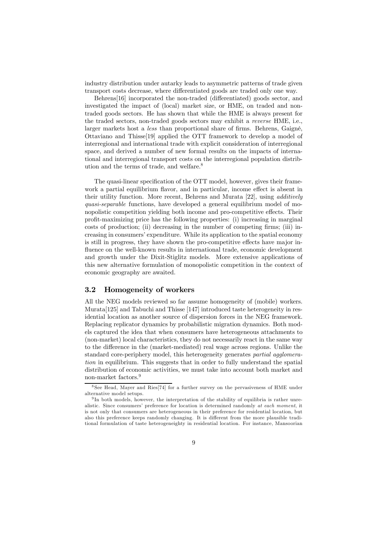industry distribution under autarky leads to asymmetric patterns of trade given transport costs decrease, where differentiated goods are traded only one way.

Behrens[16] incorporated the non-traded (differentiated) goods sector, and investigated the impact of (local) market size, or HME, on traded and nontraded goods sectors. He has shown that while the HME is always present for the traded sectors, non-traded goods sectors may exhibit a reverse HME, i.e., larger markets host a less than proportional share of firms. Behrens, Gaigné, Ottaviano and Thisse[19] applied the OTT framework to develop a model of interregional and international trade with explicit consideration of interregional space, and derived a number of new formal results on the impacts of international and interregional transport costs on the interregional population distribution and the terms of trade, and welfare.8

The quasi-linear specification of the OTT model, however, gives their framework a partial equilibrium flavor, and in particular, income effect is absent in their utility function. More recent, Behrens and Murata [22], using additively quasi-separable functions, have developed a general equilibrium model of monopolistic competition yielding both income and pro-competitive effects. Their profit-maximizing price has the following properties: (i) increasing in marginal costs of production; (ii) decreasing in the number of competing firms; (iii) increasing in consumers' expenditure. While its application to the spatial economy is still in progress, they have shown the pro-competitive effects have major influence on the well-known results in international trade, economic development and growth under the Dixit-Stiglitz models. More extensive applications of this new alternative formulation of monopolistic competition in the context of economic geography are awaited.

#### 3.2 Homogeneity of workers

All the NEG models reviewed so far assume homogeneity of (mobile) workers. Murata[125] and Tabuchi and Thisse [147] introduced taste heterogeneity in residential location as another source of dispersion forces in the NEG framework. Replacing replicator dynamics by probabilistic migration dynamics. Both models captured the idea that when consumers have heterogeneous attachments to (non-market) local characteristics, they do not necessarily react in the same way to the difference in the (market-mediated) real wage across regions. Unlike the standard core-periphery model, this heterogeneity generates partial agglomeration in equilibrium. This suggests that in order to fully understand the spatial distribution of economic activities, we must take into account both market and non-market factors.<sup>9</sup>

<sup>8</sup> See Head, Mayer and Ries[74] for a further survey on the pervasiveness of HME under alternative model setups.

<sup>&</sup>lt;sup>9</sup>In both models, however, the interpretation of the stability of equilibria is rather unrealistic. Since consumers' preference for location is determined randomly at each moment, it is not only that consumers are heterogeneous in their preference for residential location, but also this preference keeps randomly changing. It is different from the more plausible traditional formulation of taste heterogeneighty in residential location. For instance, Mansoorian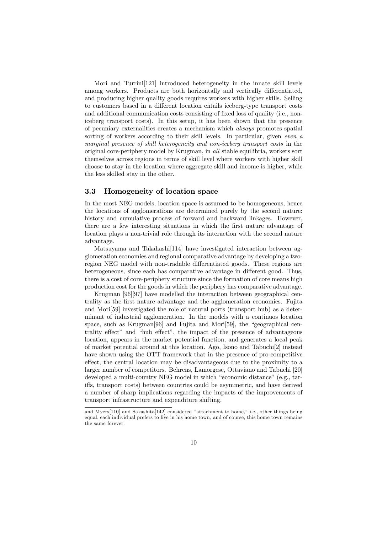Mori and Turrini[121] introduced heterogeneity in the innate skill levels among workers. Products are both horizontally and vertically differentiated, and producing higher quality goods requires workers with higher skills. Selling to customers based in a different location entails iceberg-type transport costs and additional communication costs consisting of fixed loss of quality (i.e., noniceberg transport costs). In this setup, it has been shown that the presence of pecuniary externalities creates a mechanism which always promotes spatial sorting of workers according to their skill levels. In particular, given even a marginal presence of skill heterogeneity and non-iceberg transport costs in the original core-periphery model by Krugman, in all stable equilibria, workers sort themselves across regions in terms of skill level where workers with higher skill choose to stay in the location where aggregate skill and income is higher, while the less skilled stay in the other.

#### 3.3 Homogeneity of location space

In the most NEG models, location space is assumed to be homogeneous, hence the locations of agglomerations are determined purely by the second nature: history and cumulative process of forward and backward linkages. However, there are a few interesting situations in which the first nature advantage of location plays a non-trivial role through its interaction with the second nature advantage.

Matsuyama and Takahashi[114] have investigated interaction between agglomeration economies and regional comparative advantage by developing a tworegion NEG model with non-tradable differentiated goods. These regions are heterogeneous, since each has comparative advantage in different good. Thus, there is a cost of core-periphery structure since the formation of core means high production cost for the goods in which the periphery has comparative advantage.

Krugman [96][97] have modelled the interaction between geographical centrality as the first nature advantage and the agglomeration economies. Fujita and Mori[59] investigated the role of natural ports (transport hub) as a determinant of industrial agglomeration. In the models with a continuos location space, such as Krugman[96] and Fujita and Mori[59], the "geographical centrality effect" and "hub effect", the impact of the presence of advantageous location, appears in the market potential function, and generates a local peak of market potential around at this location. Ago, Isono and Tabuchi[2] instead have shown using the OTT framework that in the presence of pro-competitive effect, the central location may be disadvantageous due to the proximity to a larger number of competitors. Behrens, Lamorgese, Ottaviano and Tabuchi [20] developed a multi-country NEG model in which "economic distance" (e.g., tariffs, transport costs) between countries could be asymmetric, and have derived a number of sharp implications regarding the impacts of the improvements of transport infrastructure and expenditure shifting.

and Myers[110] and Sakashita[142] considered "attachment to home," i.e., other things being equal, each individual prefers to live in his home town, and of course, this home town remains the same forever.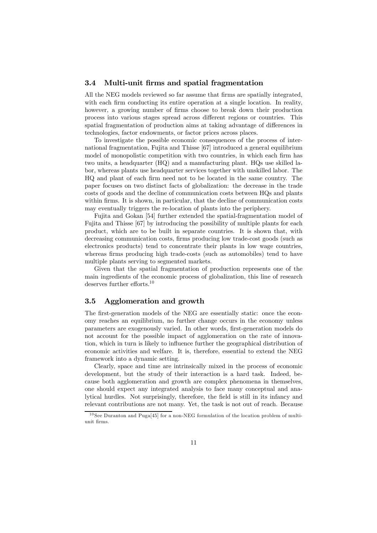#### 3.4 Multi-unit firms and spatial fragmentation

All the NEG models reviewed so far assume that firms are spatially integrated, with each firm conducting its entire operation at a single location. In reality, however, a growing number of firms choose to break down their production process into various stages spread across different regions or countries. This spatial fragmentation of production aims at taking advantage of differences in technologies, factor endowments, or factor prices across places.

To investigate the possible economic consequences of the process of international fragmentation, Fujita and Thisse [67] introduced a general equilibrium model of monopolistic competition with two countries, in which each firm has two units, a headquarter (HQ) and a manufacturing plant. HQs use skilled labor, whereas plants use headquarter services together with unskilled labor. The HQ and plant of each firm need not to be located in the same country. The paper focuses on two distinct facts of globalization: the decrease in the trade costs of goods and the decline of communication costs between HQs and plants within firms. It is shown, in particular, that the decline of communication costs may eventually triggers the re-location of plants into the periphery.

Fujita and Gokan [54] further extended the spatial-fragmentation model of Fujita and Thisse [67] by introducing the possibility of multiple plants for each product, which are to be built in separate countries. It is shown that, with decreasing communication costs, firms producing low trade-cost goods (such as electronics products) tend to concentrate their plants in low wage countries, whereas firms producing high trade-costs (such as automobiles) tend to have multiple plants serving to segmented markets.

Given that the spatial fragmentation of production represents one of the main ingredients of the economic process of globalization, this line of research deserves further efforts.  $^{10}$ 

#### 3.5 Agglomeration and growth

The first-generation models of the NEG are essentially static: once the economy reaches an equilibrium, no further change occurs in the economy unless parameters are exogenously varied. In other words, first-generation models do not account for the possible impact of agglomeration on the rate of innovation, which in turn is likely to influence further the geographical distribution of economic activities and welfare. It is, therefore, essential to extend the NEG framework into a dynamic setting.

Clearly, space and time are intrinsically mixed in the process of economic development, but the study of their interaction is a hard task. Indeed, because both agglomeration and growth are complex phenomena in themselves, one should expect any integrated analysis to face many conceptual and analytical hurdles. Not surprisingly, therefore, the field is still in its infancy and relevant contributions are not many. Yet, the task is not out of reach. Because

 $10$  See Duranton and Puga[45] for a non-NEG formulation of the location problem of multiunit firms.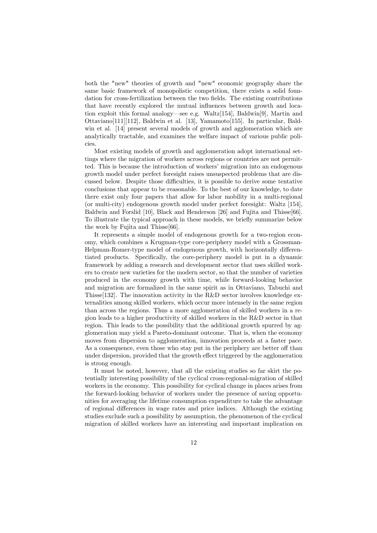both the "new" theories of growth and "new" economic geography share the same basic framework of monopolistic competition, there exists a solid foundation for cross-fertilization between the two fields. The existing contributions that have recently explored the mutual influences between growth and location exploit this formal analogy–see e.g. Waltz[154], Baldwin[9], Martin and Ottaviano[111][112], Baldwin et al. [13], Yamamoto[155]. In particular, Baldwin et al. [14] present several models of growth and agglomeration which are analytically tractable, and examines the welfare impact of various public policies.

Most existing models of growth and agglomeration adopt international settings where the migration of workers across regions or countries are not permitted. This is because the introduction of workers' migration into an endogenous growth model under perfect foresight raises unsuspected problems that are discussed below. Despite those difficulties, it is possible to derive some tentative conclusions that appear to be reasonable. To the best of our knowledge, to date there exist only four papers that allow for labor mobility in a multi-regional (or multi-city) endogenous growth model under perfect foresight: Waltz [154], Baldwin and Forslid [10], Black and Henderson [26] and Fujita and Thisse<sup>[66]</sup>. To illustrate the typical approach in these models, we briefly summarize below the work by Fujita and Thisse[66].

It represents a simple model of endogenous growth for a two-region economy, which combines a Krugman-type core-periphery model with a Grossman-Helpman-Romer-type model of endogenous growth, with horizontally differentiated products. Specifically, the core-periphery model is put in a dynamic framework by adding a research and development sector that uses skilled workers to create new varieties for the modern sector, so that the number of varieties produced in the economy growth with time, while forward-looking behavior and migration are formalized in the same spirit as in Ottaviano, Tabuchi and Thisse[132]. The innovation activity in the R&D sector involves knowledge externalities among skilled workers, which occur more intensely in the same region than across the regions. Thus a more agglomeration of skilled workers in a region leads to a higher productivity of skilled workers in the R&D sector in that region. This leads to the possibility that the additional growth spurred by agglomeration may yield a Pareto-dominant outcome. That is, when the economy moves from dispersion to agglomeration, innovation proceeds at a faster pace. As a consequence, even those who stay put in the periphery are better off than under dispersion, provided that the growth effect triggered by the agglomeration is strong enough.

It must be noted, however, that all the existing studies so far skirt the potentially interesting possibility of the cyclical cross-regional-migration of skilled workers in the economy. This possibility for cyclical change in places arises from the forward-looking behavior of workers under the presence of saving opportunities for averaging the lifetime consumption expenditure to take the advantage of regional differences in wage rates and price indices. Although the existing studies exclude such a possibility by assumption, the phenomenon of the cyclical migration of skilled workers have an interesting and important implication on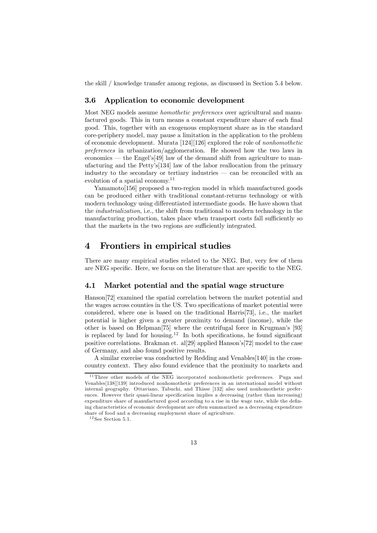the skill / knowledge transfer among regions, as discussed in Section 5.4 below.

#### 3.6 Application to economic development

Most NEG models assume homothetic preferences over agricultural and manufactured goods. This in turn means a constant expenditure share of each final good. This, together with an exogenous employment share as in the standard core-periphery model, may pause a limitation in the application to the problem of economic development. Murata [124][126] explored the role of nonhomothetic preferences in urbanization/agglomeration. He showed how the two laws in economics — the Engel's<sup>[49]</sup> law of the demand shift from agriculture to manufacturing and the Petty's[134] law of the labor reallocation from the primary industry to the secondary or tertiary industries – can be reconciled with an evolution of a spatial economy.11

Yamamoto<sup>[156]</sup> proposed a two-region model in which manufactured goods can be produced either with traditional constant-returns technology or with modern technology using differentiated intermediate goods. He have shown that the industrialization, i.e., the shift from traditional to modern technology in the manufacturing production, takes place when transport costs fall sufficiently so that the markets in the two regions are sufficiently integrated.

## 4 Frontiers in empirical studies

There are many empirical studies related to the NEG. But, very few of them are NEG specific. Here, we focus on the literature that are specific to the NEG.

#### 4.1 Market potential and the spatial wage structure

Hanson[72] examined the spatial correlation between the market potential and the wages across counties in the US. Two specifications of market potential were considered, where one is based on the traditional Harris[73], i.e., the market potential is higher given a greater proximity to demand (income), while the other is based on Helpman[75] where the centrifugal force in Krugman's [93] is replaced by land for housing.<sup>12</sup> In both specifications, he found significant positive correlations. Brakman et. al[29] applied Hanson's[72] model to the case of Germany, and also found positive results.

A similar exercise was conducted by Redding and Venables[140] in the crosscountry context. They also found evidence that the proximity to markets and

 $11$ Three other models of the NEG incorporated nonhomothetic preferences. Puga and Venables[138][139] introduced nonhomothetic preferences in an international model without internal geography. Ottaviano, Tabuchi, and Thisse [132] also used nonhomothetic preferences. However their quasi-linear specification implies a decreasing (rather than increasing) expenditure share of manufactured good according to a rise in the wage rate, while the defining characteristics of economic development are often summarized as a decreasing expenditure share of food and a decreasing employment share of agriculture.

 $12$  See Section 5.1.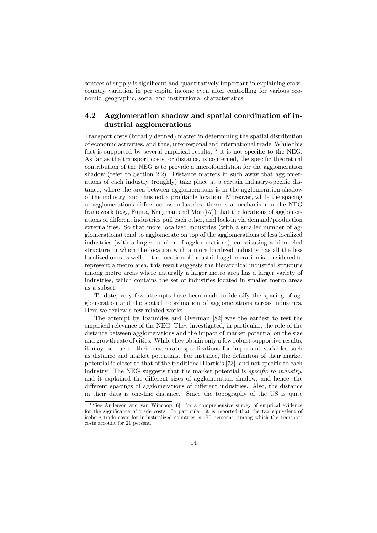sources of supply is significant and quantitatively important in explaining crosscountry variation in per capita income even after controlling for various economic, geographic, social and institutional characteristics.

#### 4.2 Agglomeration shadow and spatial coordination of industrial agglomerations

Transport costs (broadly defined) matter in determining the spatial distribution of economic activities, and thus, interregional and international trade. While this fact is supported by several empirical results, $^{13}$  it is not specific to the NEG. As far as the transport costs, or distance, is concerned, the specific theoretical contribution of the NEG is to provide a microfoundation for the agglomeration shadow (refer to Section 2.2). Distance matters in such away that agglomerations of each industry (roughly) take place at a certain industry-specific distance, where the area between agglomerations is in the agglomeration shadow of the industry, and thus not a profitable location. Moreover, while the spacing of agglomerations differs across industries, there is a mechanism in the NEG framework (e.g., Fujita, Krugman and Mori[57]) that the locations of agglomerations of different industries pull each other, and lock-in via demand/production externalities. So that more localized industries (with a smaller number of agglomerations) tend to agglomerate on top of the agglomerations of less localized industries (with a larger number of agglomerations), constituting a hierarchal structure in which the location with a more localized industry has all the less localized ones as well. If the location of industrial agglomeration is considered to represent a metro area, this result suggests the hierarchical industrial structure among metro areas where naturally a larger metro area has a larger variety of industries, which contains the set of industries located in smaller metro areas as a subset.

To date, very few attempts have been made to identify the spacing of agglomeration and the spatial coordination of agglomerations across industries. Here we review a few related works.

The attempt by Ioannides and Overman [82] was the earliest to test the empirical relevance of the NEG. They investigated, in particular, the role of the distance between agglomerations and the impact of market potential on the size and growth rate of cities. While they obtain only a few robust supportive results, it may be due to their inaccurate specifications for important variables such as distance and market potentials. For instance, the definition of their market potential is closer to that of the traditional Harris's [73], and not specific to each industry. The NEG suggests that the market potential is specific to industry, and it explained the different sizes of agglomeration shadow, and hence, the different spacings of agglomerations of different industries. Also, the distance in their data is one-line distance. Since the topography of the US is quite

 $13$  See Anderson and van Wincoop [6] for a comprehensive survey of emprical evidence for the significance of trade costs. In particular, it is reported that the tax equivalent of iceberg trade costs for industrialized countries is 170 persoent, among which the transport costs account for 21 persent.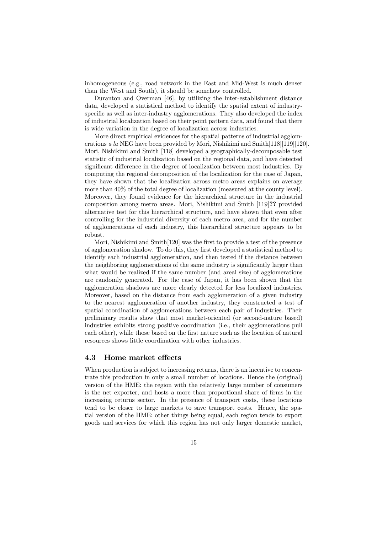inhomogeneous (e.g., road network in the East and Mid-West is much denser than the West and South), it should be somehow controlled.

Duranton and Overman [46], by utilizing the inter-establishment distance data, developed a statistical method to identify the spatial extent of industryspecific as well as inter-industry agglomerations. They also developed the index of industrial localization based on their point pattern data, and found that there is wide variation in the degree of localization across industries.

More direct empirical evidences for the spatial patterns of industrial agglomerations a la NEG have been provided by Mori, Nishikimi and Smith[118][119][120]. Mori, Nishikimi and Smith [118] developed a geographically-decomposable test statistic of industrial localization based on the regional data, and have detected significant difference in the degree of localization between most industries. By computing the regional decomposition of the localization for the case of Japan, they have shown that the localization across metro areas explains on average more than 40% of the total degree of localization (measured at the county level). Moreover, they found evidence for the hierarchical structure in the industrial composition among metro areas. Mori, Nishikimi and Smith [119]?? provided alternative test for this hierarchical structure, and have shown that even after controlling for the industrial diversity of each metro area, and for the number of agglomerations of each industry, this hierarchical structure appears to be robust.

Mori, Nishikimi and Smith[120] was the first to provide a test of the presence of agglomeration shadow. To do this, they first developed a statistical method to identify each industrial agglomeration, and then tested if the distance between the neighboring agglomerations of the same industry is significantly larger than what would be realized if the same number (and areal size) of agglomerations are randomly generated. For the case of Japan, it has been shown that the agglomeration shadows are more clearly detected for less localized industries. Moreover, based on the distance from each agglomeration of a given industry to the nearest agglomeration of another industry, they constructed a test of spatial coordination of agglomerations between each pair of industries. Their preliminary results show that most market-oriented (or second-nature based) industries exhibits strong positive coordination (i.e., their agglomerations pull each other), while those based on the first nature such as the location of natural resources shows little coordination with other industries.

#### 4.3 Home market effects

When production is subject to increasing returns, there is an incentive to concentrate this production in only a small number of locations. Hence the (original) version of the HME: the region with the relatively large number of consumers is the net exporter, and hosts a more than proportional share of firms in the increasing returns sector. In the presence of transport costs, these locations tend to be closer to large markets to save transport costs. Hence, the spatial version of the HME: other things being equal, each region tends to export goods and services for which this region has not only larger domestic market,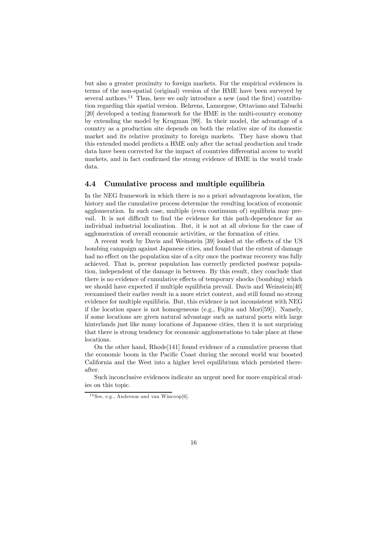but also a greater proximity to foreign markets. For the empirical evidences in terms of the non-spatial (original) version of the HME have been surveyed by several authors.<sup>14</sup> Thus, here we only introduce a new (and the first) contribution regarding this spatial version. Behrens, Lamorgese, Ottaviano and Tabuchi [20] developed a testing framework for the HME in the multi-country economy by extending the model by Krugman [99]. In their model, the advantage of a country as a production site depends on both the relative size of its domestic market and its relative proximity to foreign markets. They have shown that this extended model predicts a HME only after the actual production and trade data have been corrected for the impact of countries differential access to world markets, and in fact confirmed the strong evidence of HME in the world trade data.

#### 4.4 Cumulative process and multiple equilibria

In the NEG framework in which there is no a priori advantageous location, the history and the cumulative process determine the resulting location of economic agglomeration. In such case, multiple (even continuum of) equilibria may prevail. It is not difficult to find the evidence for this path-dependence for an individual industrial localization. But, it is not at all obvious for the case of agglomeration of overall economic activities, or the formation of cities.

A recent work by Davis and Weinstein [39] looked at the effects of the US bombing campaign against Japanese cities, and found that the extent of damage had no effect on the population size of a city once the postwar recovery was fully achieved. That is, prewar population has correctly predicted postwar population, independent of the damage in between. By this result, they conclude that there is no evidence of cumulative effects of temporary shocks (bombing) which we should have expected if multiple equilibria prevail. Davis and Weinstein[40] reexamined their earlier result in a more strict context, and still found no strong evidence for multiple equilibria. But, this evidence is not inconsistent with NEG if the location space is not homogeneous (e.g., Fujita and Mori[59]). Namely, if some locations are given natural advantage such as natural ports with large hinterlands just like many locations of Japanese cities, then it is not surprising that there is strong tendency for economic agglomerations to take place at these locations.

On the other hand, Rhode[141] found evidence of a cumulative process that the economic boom in the Pacific Coast during the second world war boosted California and the West into a higher level equilibrium which persisted thereafter.

Such inconclusive evidences indicate an urgent need for more empirical studies on this topic.

 $14$  See, e.g., Anderson and van Wincoop[6].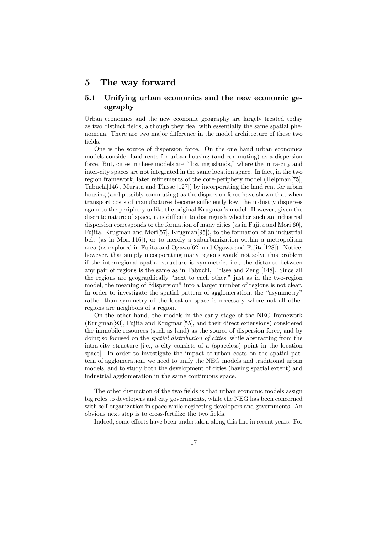### 5 The way forward

#### 5.1 Unifying urban economics and the new economic geography

Urban economics and the new economic geography are largely treated today as two distinct fields, although they deal with essentially the same spatial phenomena. There are two major difference in the model architecture of these two fields.

One is the source of dispersion force. On the one hand urban economics models consider land rents for urban housing (and commuting) as a dispersion force. But, cities in these models are "floating islands," where the intra-city and inter-city spaces are not integrated in the same location space. In fact, in the two region framework, later refinements of the core-periphery model (Helpman[75], Tabuchi[146], Murata and Thisse [127]) by incorporating the land rent for urban housing (and possibly commuting) as the dispersion force have shown that when transport costs of manufactures become sufficiently low, the industry disperses again to the periphery unlike the original Krugman's model. However, given the discrete nature of space, it is difficult to distinguish whether such an industrial dispersion corresponds to the formation of many cities (as in Fujita and Mori[60], Fujita, Krugman and Mori[57], Krugman[95]), to the formation of an industrial belt (as in Mori[116]), or to merely a suburbanization within a metropolitan area (as explored in Fujita and Ogawa[62] and Ogawa and Fujita[128]). Notice, however, that simply incorporating many regions would not solve this problem if the interregional spatial structure is symmetric, i.e., the distance between any pair of regions is the same as in Tabuchi, Thisse and Zeng [148]. Since all the regions are geographically "next to each other," just as in the two-region model, the meaning of "dispersion" into a larger number of regions is not clear. In order to investigate the spatial pattern of agglomeration, the "asymmetry" rather than symmetry of the location space is necessary where not all other regions are neighbors of a region.

On the other hand, the models in the early stage of the NEG framework (Krugman[93], Fujita and Krugman[55], and their direct extensions) considered the immobile resources (such as land) as the source of dispersion force, and by doing so focused on the spatial distribution of cities, while abstracting from the intra-city structure [i.e., a city consists of a (spaceless) point in the location space]. In order to investigate the impact of urban costs on the spatial pattern of agglomeration, we need to unify the NEG models and traditional urban models, and to study both the development of cities (having spatial extent) and industrial agglomeration in the same continuous space.

The other distinction of the two fields is that urban economic models assign big roles to developers and city governments, while the NEG has been concerned with self-organization in space while neglecting developers and governments. An obvious next step is to cross-fertilize the two fields.

Indeed, some efforts have been undertaken along this line in recent years. For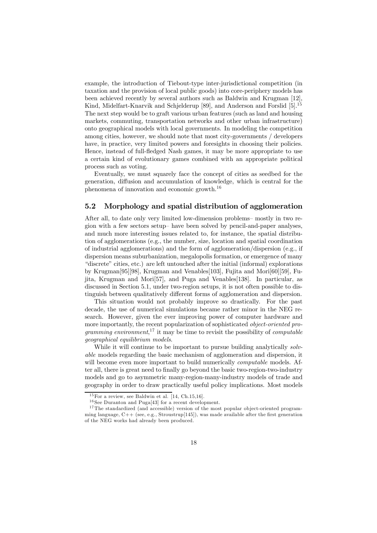example, the introduction of Tiebout-type inter-jurisdictional competition (in taxation and the provision of local public goods) into core-periphery models has been achieved recently by several authors such as Baldwin and Krugman [12], Kind, Midelfart-Knarvik and Schjelderup [89], and Anderson and Forslid [5].<sup>15</sup> The next step would be to graft various urban features (such as land and housing markets, commuting, transportation networks and other urban infrastructure) onto geographical models with local governments. In modeling the competition among cities, however, we should note that most city-governments / developers have, in practice, very limited powers and foresights in choosing their policies. Hence, instead of full-fledged Nash games, it may be more appropriate to use a certain kind of evolutionary games combined with an appropriate political process such as voting.

Eventually, we must squarely face the concept of cities as seedbed for the generation, diffusion and accumulation of knowledge, which is central for the phenomena of innovation and economic growth.<sup>16</sup>

#### 5.2 Morphology and spatial distribution of agglomeration

After all, to date only very limited low-dimension problems— mostly in two region with a few sectors setup— have been solved by pencil-and-paper analyses, and much more interesting issues related to, for instance, the spatial distribution of agglomerations (e.g., the number, size, location and spatial coordination of industrial agglomerations) and the form of agglomeration/dispersion (e.g., if dispersion means suburbanization, megalopolis formation, or emergence of many "discrete" cities, etc.) are left untouched after the initial (informal) explorations by Krugman[95][98], Krugman and Venables[103], Fujita and Mori[60][59], Fujita, Krugman and Mori[57], and Puga and Venables[138]. In particular, as discussed in Section 5.1, under two-region setups, it is not often possible to distinguish between qualitatively different forms of agglomeration and dispersion.

This situation would not probably improve so drastically. For the past decade, the use of numerical simulations became rather minor in the NEG research. However, given the ever improving power of computer hardware and more importantly, the recent popularization of sophisticated object-oriented programming environment,<sup>17</sup> it may be time to revisit the possibility of computable geographical equilibrium models.

While it will continue to be important to pursue building analytically *solv*able models regarding the basic mechanism of agglomeration and dispersion, it will become even more important to build numerically *computable* models. After all, there is great need to finally go beyond the basic two-region-two-industry models and go to asymmetric many-region-many-industry models of trade and geography in order to draw practically useful policy implications. Most models

 $15$  For a review, see Baldwin et al. [14, Ch.15,16].

 $^{16}\mathrm{See}$  Duranton and Puga[43] for a recent development.

<sup>&</sup>lt;sup>17</sup>The standardized (and accessible) version of the most popular object-oriented programming language,  $C++$  (see, e.g., Stroustrup[145]), was made available after the first generation of the NEG works had already been produced.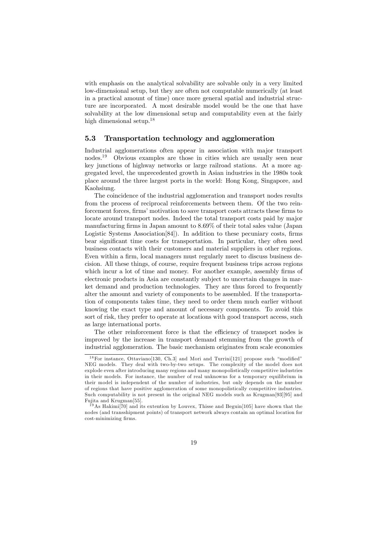with emphasis on the analytical solvability are solvable only in a very limited low-dimensional setup, but they are often not computable numerically (at least in a practical amount of time) once more general spatial and industrial structure are incorporated. A most desirable model would be the one that have solvability at the low dimensional setup and computability even at the fairly high dimensional setup.<sup>18</sup>

#### 5.3 Transportation technology and agglomeration

Industrial agglomerations often appear in association with major transport nodes.19 Obvious examples are those in cities which are usually seen near key junctions of highway networks or large railroad stations. At a more aggregated level, the unprecedented growth in Asian industries in the 1980s took place around the three largest ports in the world: Hong Kong, Singapore, and Kaohsiung.

The coincidence of the industrial agglomeration and transport nodes results from the process of reciprocal reinforcements between them. Of the two reinforcement forces, firms' motivation to save transport costs attracts these firms to locate around transport nodes. Indeed the total transport costs paid by major manufacturing firms in Japan amount to 8.69% of their total sales value (Japan Logistic Systems Association[84]). In addition to these pecuniary costs, firms bear significant time costs for transportation. In particular, they often need business contacts with their customers and material suppliers in other regions. Even within a firm, local managers must regularly meet to discuss business decision. All these things, of course, require frequent business trips across regions which incur a lot of time and money. For another example, assembly firms of electronic products in Asia are constantly subject to uncertain changes in market demand and production technologies. They are thus forced to frequently alter the amount and variety of components to be assembled. If the transportation of components takes time, they need to order them much earlier without knowing the exact type and amount of necessary components. To avoid this sort of risk, they prefer to operate at locations with good transport access, such as large international ports.

The other reinforcement force is that the efficiency of transport nodes is improved by the increase in transport demand stemming from the growth of industrial agglomeration. The basic mechanism originates from scale economies

<sup>&</sup>lt;sup>18</sup> For instance, Ottaviano<sup>[130]</sup>, Ch.3<sup>]</sup> and Mori and Turrini<sup>[121]</sup> propose such "modified" NEG models. They deal with two-by-two setups. The complexity of the model does not explode even after introducing many regions and many monopolistically competitive industries in their models. For instance, the number of real unknowns for a temporary equilibrium in their model is independent of the number of industries, but only depends on the number of regions that have positive agglomeration of some monopolistically competitive industries. Such computability is not present in the original NEG models such as Krugman[93][95] and Fujita and Krugman[55].

 $19$ As Hakimi[70] and its extention by Louvex, Thisse and Beguin[105] have shown that the nodes (and transshipment points) of transport network always contain an optimal location for cost-minimizing firms.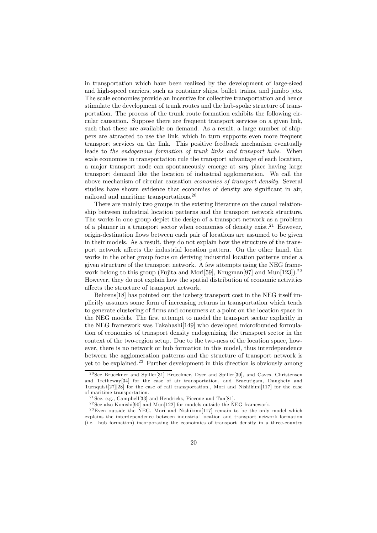in transportation which have been realized by the development of large-sized and high-speed carriers, such as container ships, bullet trains, and jumbo jets. The scale economies provide an incentive for collective transportation and hence stimulate the development of trunk routes and the hub-spoke structure of transportation. The process of the trunk route formation exhibits the following circular causation. Suppose there are frequent transport services on a given link, such that these are available on demand. As a result, a large number of shippers are attracted to use the link, which in turn supports even more frequent transport services on the link. This positive feedback mechanism eventually leads to the endogenous formation of trunk links and transport hubs. When scale economies in transportation rule the transport advantage of each location, a major transport node can spontaneously emerge at any place having large transport demand like the location of industrial agglomeration. We call the above mechanism of circular causation economies of transport density. Several studies have shown evidence that economies of density are significant in air, railroad and maritime transportations.<sup>20</sup>

There are mainly two groups in the existing literature on the causal relationship between industrial location patterns and the transport network structure. The works in one group depict the design of a transport network as a problem of a planner in a transport sector when economies of density exist.<sup>21</sup> However, origin-destination flows between each pair of locations are assumed to be given in their models. As a result, they do not explain how the structure of the transport network affects the industrial location pattern. On the other hand, the works in the other group focus on deriving industrial location patterns under a given structure of the transport network. A few attempts using the NEG framework belong to this group (Fujita and Mori<sup>[59]</sup>, Krugman<sup>[97]</sup> and Mun<sup>[123]</sup>).<sup>22</sup> However, they do not explain how the spatial distribution of economic activities affects the structure of transport network.

Behrens[18] has pointed out the iceberg transport cost in the NEG itself implicitly assumes some form of increasing returns in transportation which tends to generate clustering of firms and consumers at a point on the location space in the NEG models. The first attempt to model the transport sector explicitly in the NEG framework was Takahashi[149] who developed microfounded formulation of economies of transport density endogenizing the transport sector in the context of the two-region setup. Due to the two-ness of the location space, however, there is no network or hub formation in this model, thus interdependence between the agglomeration patterns and the structure of transport network is yet to be explained.<sup>23</sup> Further development in this direction is obviously among

<sup>&</sup>lt;sup>20</sup> See Brueckner and Spiller<sup>[31]</sup> Brueckner, Dyer and Spiller<sup>[30]</sup>, and Caves, Christensen and Tretheway[34] for the case of air transportation, and Braeutigam, Daughety and Turnquist[27][28] for the case of rail transportation., Mori and Nishikimi[117] for the case of maritime transportation.

 $21$  See, e.g., Campbell[33] and Hendricks, Piccone and Tan[81].

 $22$  See also Konishi<sup>[90]</sup> and Mun<sup>[122]</sup> for models outside the NEG framework.

 $23$  Even outside the NEG, Mori and Nishikimi[117] remain to be the only model which explains the interdependence between industrial location and transport network formation (i.e. hub formation) incorporating the econoimies of transport density in a three-country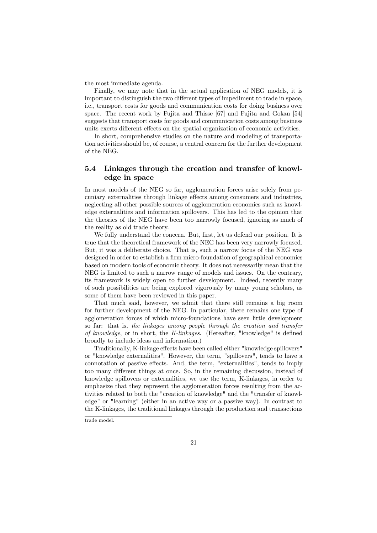the most immediate agenda.

Finally, we may note that in the actual application of NEG models, it is important to distinguish the two different types of impediment to trade in space, i.e., transport costs for goods and communication costs for doing business over space. The recent work by Fujita and Thisse [67] and Fujita and Gokan [54] suggests that transport costs for goods and communication costs among business units exerts different effects on the spatial organization of economic activities.

In short, comprehensive studies on the nature and modeling of transportation activities should be, of course, a central concern for the further development of the NEG.

#### 5.4 Linkages through the creation and transfer of knowledge in space

In most models of the NEG so far, agglomeration forces arise solely from pecuniary externalities through linkage effects among consumers and industries, neglecting all other possible sources of agglomeration economies such as knowledge externalities and information spillovers. This has led to the opinion that the theories of the NEG have been too narrowly focused, ignoring as much of the reality as old trade theory.

We fully understand the concern. But, first, let us defend our position. It is true that the theoretical framework of the NEG has been very narrowly focused. But, it was a deliberate choice. That is, such a narrow focus of the NEG was designed in order to establish a firm micro-foundation of geographical economics based on modern tools of economic theory. It does not necessarily mean that the NEG is limited to such a narrow range of models and issues. On the contrary, its framework is widely open to further development. Indeed, recently many of such possibilities are being explored vigorously by many young scholars, as some of them have been reviewed in this paper.

That much said, however, we admit that there still remains a big room for further development of the NEG. In particular, there remains one type of agglomeration forces of which micro-foundations have seen little development so far: that is, the linkages among people through the creation and transfer of knowledge, or in short, the K-linkages. (Hereafter, "knowledge" is defined broadly to include ideas and information.)

Traditionally, K-linkage effects have been called either "knowledge spillovers" or "knowledge externalities". However, the term, "spillovers", tends to have a connotation of passive effects. And, the term, "externalities", tends to imply too many different things at once. So, in the remaining discussion, instead of knowledge spillovers or externalities, we use the term, K-linkages, in order to emphasize that they represent the agglomeration forces resulting from the activities related to both the "creation of knowledge" and the "transfer of knowledge" or "learning" (either in an active way or a passive way). In contrast to the K-linkages, the traditional linkages through the production and transactions

trade model.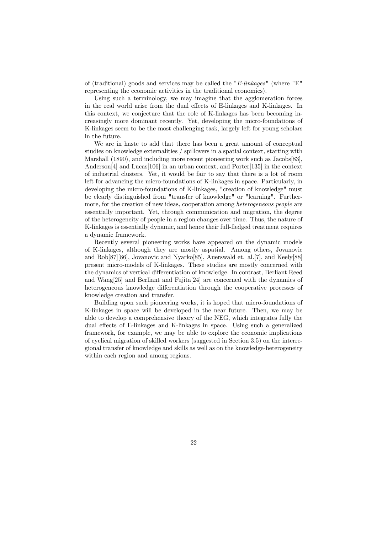of (traditional) goods and services may be called the " $E$ -linkages" (where "E" representing the economic activities in the traditional economics).

Using such a terminology, we may imagine that the agglomeration forces in the real world arise from the dual effects of E-linkages and K-linkages. In this context, we conjecture that the role of K-linkages has been becoming increasingly more dominant recently. Yet, developing the micro-foundations of K-linkages seem to be the most challenging task, largely left for young scholars in the future.

We are in haste to add that there has been a great amount of conceptual studies on knowledge externalities / spillovers in a spatial context, starting with Marshall (1890), and including more recent pioneering work such as Jacobs[83], Anderson<sup>[4]</sup> and Lucas<sup>[106]</sup> in an urban context, and Porter<sup>[135]</sup> in the context of industrial clusters. Yet, it would be fair to say that there is a lot of room left for advancing the micro-foundations of K-linkages in space. Particularly, in developing the micro-foundations of K-linkages, "creation of knowledge" must be clearly distinguished from "transfer of knowledge" or "learning". Furthermore, for the creation of new ideas, cooperation among heterogeneous people are essentially important. Yet, through communication and migration, the degree of the heterogeneity of people in a region changes over time. Thus, the nature of K-linkages is essentially dynamic, and hence their full-fledged treatment requires a dynamic framework.

Recently several pioneering works have appeared on the dynamic models of K-linkages, although they are mostly aspatial. Among others, Jovanovic and Rob[87][86], Jovanovic and Nyarko[85], Auerswald et. al.[7], and Keely[88] present micro-models of K-linkages. These studies are mostly concerned with the dynamics of vertical differentiation of knowledge. In contrast, Berliant Reed and Wang[25] and Berliant and Fujita[24] are concerned with the dynamics of heterogeneous knowledge differentiation through the cooperative processes of knowledge creation and transfer.

Building upon such pioneering works, it is hoped that micro-foundations of K-linkages in space will be developed in the near future. Then, we may be able to develop a comprehensive theory of the NEG, which integrates fully the dual effects of E-linkages and K-linkages in space. Using such a generalized framework, for example, we may be able to explore the economic implications of cyclical migration of skilled workers (suggested in Section 3.5) on the interregional transfer of knowledge and skills as well as on the knowledge-heterogeneity within each region and among regions.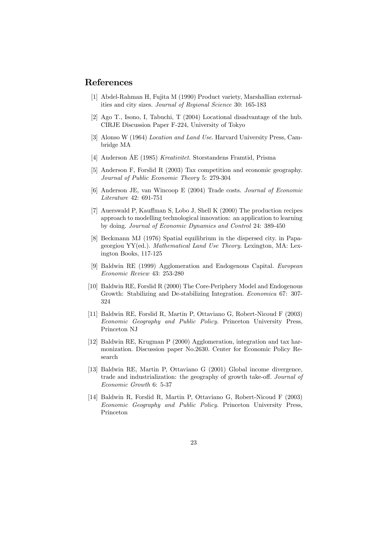## References

- [1] Abdel-Rahman H, Fujita M (1990) Product variety, Marshallian externalities and city sizes. Journal of Regional Science 30: 165-183
- [2] Ago T., Isono, I, Tabuchi, T (2004) Locational disadvantage of the hub. CIRJE Discussion Paper F-224, University of Tokyo
- [3] Alonso W (1964) Location and Land Use. Harvard University Press, Cambridge MA
- [4] Anderson ÅE (1985) Kreativitet. Storstandens Framtid, Prisma
- [5] Anderson F, Forslid R (2003) Tax competition and economic geography. Journal of Public Economic Theory 5: 279-304
- [6] Anderson JE, van Wincoop E (2004) Trade costs. Journal of Economic Literature 42: 691-751
- [7] Auerswald P, Kauffman S, Lobo J, Shell K (2000) The production recipes approach to modelling technological innovation: an application to learning by doing. Journal of Economic Dynamics and Control 24: 389-450
- [8] Beckmann MJ (1976) Spatial equilibrium in the dispersed city. in Papageorgiou YY(ed.). Mathematical Land Use Theory. Lexington, MA: Lexington Books, 117-125
- [9] Baldwin RE (1999) Agglomeration and Endogenous Capital. European Economic Review 43: 253-280
- [10] Baldwin RE, Forslid R (2000) The Core-Periphery Model and Endogenous Growth: Stabilizing and De-stabilizing Integration. Economica 67: 307- 324
- [11] Baldwin RE, Forslid R, Martin P, Ottaviano G, Robert-Nicoud F (2003) Economic Geography and Public Policy. Princeton University Press, Princeton NJ
- [12] Baldwin RE, Krugman P (2000) Agglomeration, integration and tax harmonization. Discussion paper No.2630. Center for Economic Policy Research
- [13] Baldwin RE, Martin P, Ottaviano G (2001) Global income divergence, trade and industrialization: the geography of growth take-off. Journal of Economic Growth 6: 5-37
- [14] Baldwin R, Forslid R, Martin P, Ottaviano G, Robert-Nicoud F (2003) Economic Geography and Public Policy. Princeton University Press, Princeton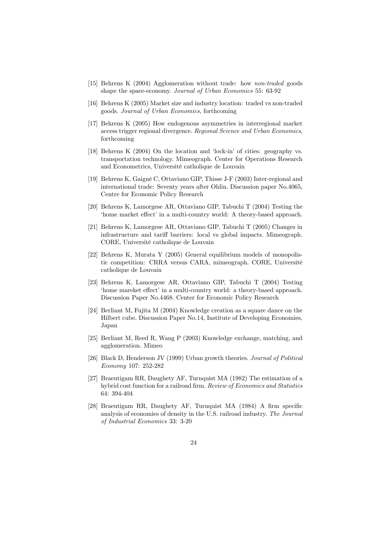- [15] Behrens K (2004) Agglomeration without trade: how non-traded goods shape the space-economy. Journal of Urban Economics 55: 63-92
- [16] Behrens K (2005) Market size and industry location: traded vs non-traded goods. Journal of Urban Economics, forthcoming
- [17] Behrens K (2005) How endogenous asymmetries in interregional market access trigger regional divergence. Regional Science and Urban Economics, forthcoming
- [18] Behrens K (2004) On the location and 'lock-in' of cities: geography vs. transportation technology. Mimeograph. Center for Operations Research and Econometrics, Université catholique de Louvain
- [19] Behrens K, Gaigné C, Ottaviano GIP, Thisse J-F (2003) Inter-regional and international trade: Seventy years after Ohlin. Discussion paper No.4065, Centre for Economic Policy Research
- [20] Behrens K, Lamorgese AR, Ottaviano GIP, Tabuchi T (2004) Testing the 'home market effect' in a multi-country world: A theory-based approach.
- [21] Behrens K, Lamorgese AR, Ottaviano GIP, Tabuchi T (2005) Changes in infrastructure and tariff barriers: local vs global impacts. Mimeograph. CORE, Université catholique de Louvain
- [22] Behrens K, Murata Y (2005) General equilibrium models of monopolistic competition: CRRA versus CARA, mimeograph. CORE, Université catholique de Louvain
- [23] Behrens K, Lamorgese AR, Ottaviano GIP, Tabuchi T (2004) Testing 'home mareket effect' in a multi-country world: a theory-based approach. Discussion Paper No.4468. Center for Economic Policy Research
- [24] Berliant M, Fujita M (2004) Knowledge creation as a square dance on the Hilbert cube. Discussion Paper No.14, Institute of Developing Economies, Japan
- [25] Berliant M, Reed R, Wang P (2003) Knowledge exchange, matching, and agglomeration. Mimeo
- [26] Black D, Henderson JV (1999) Urban growth theories. Journal of Political Economy 107: 252-282
- [27] Braeutigam RR, Daughety AF, Turnquist MA (1982) The estimation of a hybrid cost function for a railroad firm. Review of Economics and Statistics 64: 394-404
- [28] Braeutigam RR, Daughety AF, Turnquist MA (1984) A firm specific analysis of economies of density in the U.S. railroad industry. The Journal of Industrial Economics 33: 3-20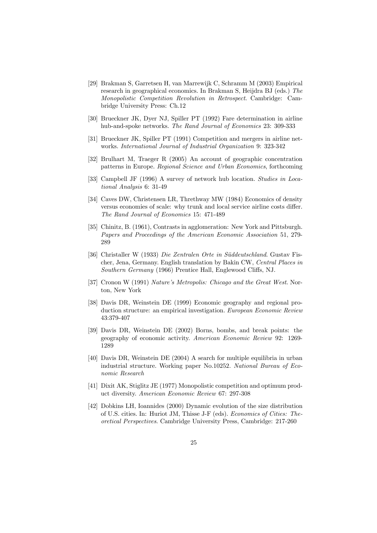- [29] Brakman S, Garretsen H, van Marrewijk C, Schramm M (2003) Empirical research in geographical economics. In Brakman S, Heijdra BJ (eds.) The Monopolistic Competition Revolution in Retrospect. Cambridge: Cambridge University Press: Ch.12
- [30] Brueckner JK, Dyer NJ, Spiller PT (1992) Fare determination in airline hub-and-spoke networks. The Rand Journal of Economics 23: 309-333
- [31] Brueckner JK, Spiller PT (1991) Competition and mergers in airline networks. International Journal of Industrial Organization 9: 323-342
- [32] Brulhart M, Traeger R (2005) An account of geographic concentration patterns in Europe. Regional Science and Urban Economics, forthcoming
- [33] Campbell JF (1996) A survey of network hub location. Studies in Locational Analysis 6: 31-49
- [34] Caves DW, Christensen LR, Threthway MW (1984) Economics of density versus economies of scale: why trunk and local service airline costs differ. The Rand Journal of Economics 15: 471-489
- [35] Chinitz, B. (1961), Contrasts in agglomeration: New York and Pittsburgh. Papers and Proceedings of the American Economic Association 51, 279- 289
- [36] Christaller W (1933) Die Zentralen Orte in Süddeutschland. Gustav Fischer, Jena, Germany. English translation by Bakin CW, Central Places in Southern Germany (1966) Prentice Hall, Englewood Cliffs, NJ.
- [37] Cronon W (1991) Nature's Metropolis: Chicago and the Great West. Norton, New York
- [38] Davis DR, Weinstein DE (1999) Economic geography and regional production structure: an empirical investigation. European Economic Review 43:379-407
- [39] Davis DR, Weinstein DE (2002) Borns, bombs, and break points: the geography of economic activity. American Economic Review 92: 1269- 1289
- [40] Davis DR, Weinstein DE (2004) A search for multiple equilibria in urban industrial structure. Working paper No.10252. National Bureau of Economic Research
- [41] Dixit AK, Stiglitz JE (1977) Monopolistic competition and optimum product diversity. American Economic Review 67: 297-308
- [42] Dobkins LH, Ioannides (2000) Dynamic evolution of the size distribution of U.S. cities. In: Huriot JM, Thisse J-F (eds). Economics of Cities: Theoretical Perspectives. Cambridge University Press, Cambridge: 217-260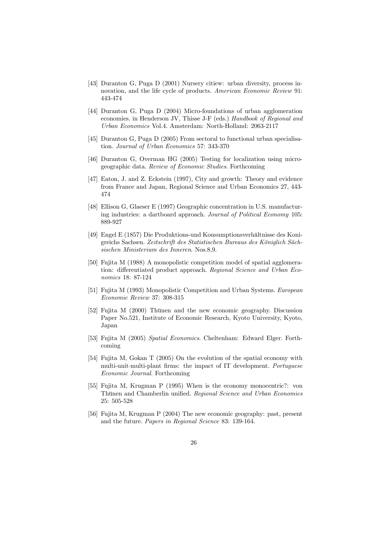- [43] Duranton G, Puga D (2001) Nursery citiew: urban diversity, process innovation, and the life cycle of products. American Economic Review 91: 443-474
- [44] Duranton G, Puga D (2004) Micro-foundations of urban agglomeration economies. in Henderson JV, Thisse J-F (eds.) Handbook of Regional and Urban Economics Vol.4. Amsterdam: North-Holland: 2063-2117
- [45] Duranton G, Puga D (2005) From sectoral to functional urban specialisation. Journal of Urban Economics 57: 343-370
- [46] Duranton G, Overman HG (2005) Testing for localization using microgeographic data. Review of Economic Studies. Forthcoming
- [47] Eaton, J. and Z. Eckstein (1997), City and growth: Theory and evidence from France and Japan, Regional Science and Urban Economics 27, 443- 474
- [48] Ellison G, Glaeser E (1997) Geographic concentration in U.S. manufacturing industries: a dartboard approach. Journal of Political Economy 105: 889-927
- [49] Engel E (1857) Die Produktions-und Konsumptionsverhältnisse des Konigreichs Sachsen. Zeitschrift des Statistischen Bureaus des Königlich Sächsischen Ministerium des Inneren. Nos.8,9.
- [50] Fujita M (1988) A monopolistic competition model of spatial agglomeration: differentiated product approach. Regional Science and Urban Economics 18: 87-124
- [51] Fujita M (1993) Monopolistic Competition and Urban Systems. European Economic Review 37: 308-315
- [52] Fujita M (2000) Thünen and the new economic geography. Discussion Paper No.521, Institute of Economic Research, Kyoto University, Kyoto, Japan
- [53] Fujita M (2005) Spatial Economics. Cheltenham: Edward Elger. Forthcoming
- [54] Fujita M, Gokan T (2005) On the evolution of the spatial economy with multi-unit·multi-plant firms: the impact of IT development. Portuguese Economic Journal. Forthcoming
- [55] Fujita M, Krugman P (1995) When is the economy monocentric?: von Thünen and Chamberlin unified. Regional Science and Urban Economics 25: 505-528
- [56] Fujita M, Krugman P (2004) The new economic geography: past, present and the future. Papers in Regional Science 83: 139-164.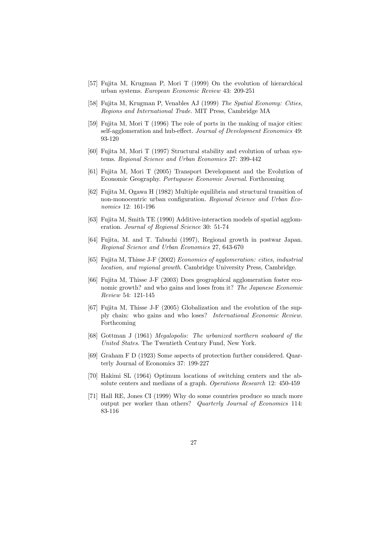- [57] Fujita M, Krugman P, Mori T (1999) On the evolution of hierarchical urban systems. European Economic Review 43: 209-251
- [58] Fujita M, Krugman P, Venables AJ (1999) The Spatial Economy: Cities, Regions and International Trade. MIT Press, Cambridge MA
- [59] Fujita M, Mori T (1996) The role of ports in the making of major cities: self-agglomeration and hub-effect. Journal of Development Economics 49: 93-120
- [60] Fujita M, Mori T (1997) Structural stability and evolution of urban systems. Regional Science and Urban Economics 27: 399-442
- [61] Fujita M, Mori T (2005) Transport Development and the Evolution of Economic Geography. Portuguese Economic Journal. Forthcoming
- [62] Fujita M, Ogawa H (1982) Multiple equilibria and structural transition of non-monocentric urban configuration. Regional Science and Urban Economics 12: 161-196
- [63] Fujita M, Smith TE (1990) Additive-interaction models of spatial agglomeration. Journal of Regional Science 30: 51-74
- [64] Fujita, M. and T. Tabuchi (1997), Regional growth in postwar Japan. Regional Science and Urban Economics 27, 643-670
- [65] Fujita M, Thisse J-F (2002) Economics of agglomeration: cities, industrial location, and regional growth. Cambridge University Press, Cambridge.
- [66] Fujita M, Thisse J-F (2003) Does geographical agglomeration foster economic growth? and who gains and loses from it? The Japanese Economic Review 54: 121-145
- [67] Fujita M, Thisse J-F (2005) Globalization and the evolution of the supply chain: who gains and who loses? International Economic Review. Forthcoming
- [68] Gottman J (1961) Megalopolis: The urbanized northern seaboard of the United States. The Twentieth Century Fund, New York.
- [69] Graham F D (1923) Some aspects of protection further considered. Quarterly Journal of Economics 37: 199-227
- [70] Hakimi SL (1964) Optimum locations of switching centers and the absolute centers and medians of a graph. Operations Research 12: 450-459
- [71] Hall RE, Jones CI (1999) Why do some countries produce so much more output per worker than others? Quarterly Journal of Economics 114: 83-116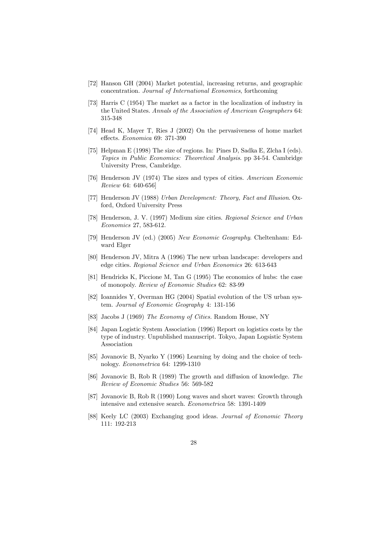- [72] Hanson GH (2004) Market potential, increasing returns, and geographic concentration. Journal of International Economics, forthcoming
- [73] Harris C (1954) The market as a factor in the localization of industry in the United States. Annals of the Association of American Geographers 64: 315-348
- [74] Head K, Mayer T, Ries J (2002) On the pervasiveness of home market effects. Economica 69: 371-390
- [75] Helpman E (1998) The size of regions. In: Pines D, Sadka E, Zlcha I (eds). Topics in Public Economics: Theoretical Analysis. pp 34-54. Cambridge University Press, Cambridge.
- [76] Henderson JV (1974) The sizes and types of cities. American Economic Review 64: 640-656]
- [77] Henderson JV (1988) Urban Development: Theory, Fact and Illusion. Oxford, Oxford University Press
- [78] Henderson, J. V. (1997) Medium size cities. Regional Science and Urban Economics 27, 583-612.
- [79] Henderson JV (ed.) (2005) New Economic Geography. Cheltenham: Edward Elger
- [80] Henderson JV, Mitra A (1996) The new urban landscape: developers and edge cities. Regional Science and Urban Economics 26: 613-643
- [81] Hendricks K, Piccione M, Tan G (1995) The economics of hubs: the case of monopoly. Review of Economic Studies 62: 83-99
- [82] Ioannides Y, Overman HG (2004) Spatial evolution of the US urban system. Journal of Economic Geography 4: 131-156
- [83] Jacobs J (1969) The Economy of Cities. Random House, NY
- [84] Japan Logistic System Association (1996) Report on logistics costs by the type of industry. Unpublished manuscript. Tokyo, Japan Logsistic System Association
- [85] Jovanovic B, Nyarko Y (1996) Learning by doing and the choice of technology. Econometrica 64: 1299-1310
- [86] Jovanovic B, Rob R (1989) The growth and diffusion of knowledge. The Review of Economic Studies 56: 569-582
- [87] Jovanovic B, Rob R (1990) Long waves and short waves: Growth through intensive and extensive search. Econometrica 58: 1391-1409
- [88] Keely LC (2003) Exchanging good ideas. Journal of Economic Theory 111: 192-213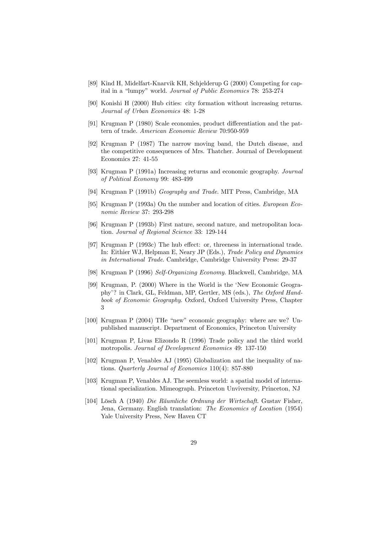- [89] Kind H, Midelfart-Knarvik KH, Schjelderup G (2000) Competing for capital in a "lumpy" world. Journal of Public Economics 78: 253-274
- [90] Konishi H (2000) Hub cities: city formation without increasing returns. Journal of Urban Economics 48: 1-28
- [91] Krugman P (1980) Scale economies, product differentiation and the pattern of trade. American Economic Review 70:950-959
- [92] Krugman P (1987) The narrow moving band, the Dutch disease, and the competitive consequences of Mrs. Thatcher. Journal of Development Economics 27: 41-55
- [93] Krugman P (1991a) Increasing returns and economic geography. Journal of Political Economy 99: 483-499
- [94] Krugman P (1991b) Geography and Trade. MIT Press, Cambridge, MA
- [95] Krugman P (1993a) On the number and location of cities. European Economic Review 37: 293-298
- [96] Krugman P (1993b) First nature, second nature, and metropolitan location. Journal of Regional Science 33: 129-144
- [97] Krugman P (1993c) The hub effect: or, threeness in international trade. In: Eithier WJ, Helpman E, Neary JP (Eds.), Trade Policy and Dynamics in International Trade. Cambridge, Cambridge University Press: 29-37
- [98] Krugman P (1996) Self-Organizing Economy. Blackwell, Cambridge, MA
- [99] Krugman, P. (2000) Where in the World is the 'New Economic Geography'? in Clark, GL, Feldman, MP, Gertler, MS (eds.), The Oxford Handbook of Economic Geography. Oxford, Oxford University Press, Chapter 3
- [100] Krugman P (2004) THe "new" economic geography: where are we? Unpublished manuscript. Department of Economics, Princeton University
- [101] Krugman P, Livas Elizondo R (1996) Trade policy and the third world motropolis. Journal of Development Economics 49: 137-150
- [102] Krugman P, Venables AJ (1995) Globalization and the inequality of nations. Quarterly Journal of Economics 110(4): 857-880
- [103] Krugman P, Venables AJ. The seemless world: a spatial model of international specialization. Mimeograph. Princeton Unviversity, Princeton, NJ
- [104] Lösch A (1940) Die Räumliche Ordnung der Wirtschaft. Gustav Fisher, Jena, Germany. English translation: The Economics of Location (1954) Yale University Press, New Haven CT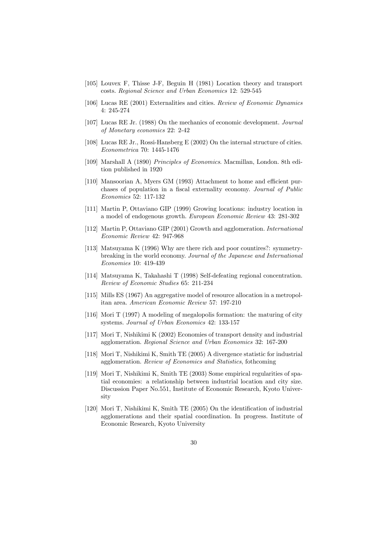- [105] Louvex F, Thisse J-F, Beguin H (1981) Location theory and transport costs. Regional Science and Urban Economics 12: 529-545
- [106] Lucas RE (2001) Externalities and cities. Review of Economic Dynamics 4: 245-274
- [107] Lucas RE Jr. (1988) On the mechanics of economic development. Journal of Monetary economics 22: 2-42
- [108] Lucas RE Jr., Rossi-Hansberg E (2002) On the internal structure of cities. Econometrica 70: 1445-1476
- [109] Marshall A (1890) Principles of Economics. Macmillan, London. 8th edition published in 1920
- [110] Mansoorian A, Myers GM (1993) Attachment to home and efficient purchases of population in a fiscal externality economy. Journal of Public Economics 52: 117-132
- [111] Martin P, Ottaviano GIP (1999) Growing locations: industry location in a model of endogenous growth. European Economic Review 43: 281-302
- [112] Martin P, Ottaviano GIP (2001) Growth and agglomeration. International Economic Review 42: 947-968
- [113] Matsuyama K (1996) Why are there rich and poor countires?: symmetrybreaking in the world economy. Journal of the Japanese and International Economies 10: 419-439
- [114] Matsuyama K, Takahashi T (1998) Self-defeating regional concentration. Review of Economic Studies 65: 211-234
- [115] Mills ES (1967) An aggregative model of resource allocation in a metropolitan area. American Economic Review 57: 197-210
- [116] Mori T (1997) A modeling of megalopolis formation: the maturing of city systems. Journal of Urban Economics 42: 133-157
- [117] Mori T, Nishikimi K (2002) Economies of transport density and industrial agglomeration. Regional Science and Urban Economics 32: 167-200
- [118] Mori T, Nishikimi K, Smith TE (2005) A divergence statistic for industrial agglomeration. Review of Economics and Statistics, fothcoming
- [119] Mori T, Nishikimi K, Smith TE (2003) Some empirical regularities of spatial economies: a relationship between industrial location and city size. Discussion Paper No.551, Institute of Economic Research, Kyoto University
- [120] Mori T, Nishikimi K, Smith TE (2005) On the identification of industrial agglomerations and their spatial coordination. In progress. Institute of Economic Research, Kyoto University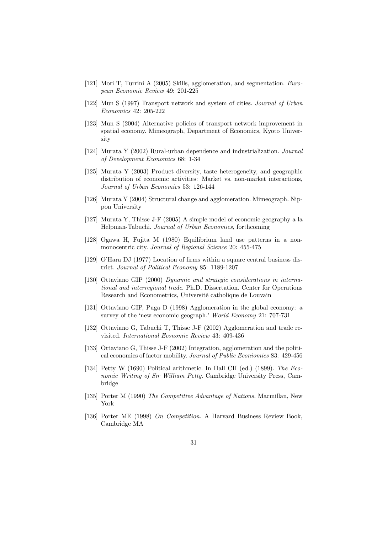- [121] Mori T, Turrini A (2005) Skills, agglomeration, and segmentation. European Economic Review 49: 201-225
- [122] Mun S (1997) Transport network and system of cities. Journal of Urban Economics 42: 205-222
- [123] Mun S (2004) Alternative policies of transport network improvement in spatial economy. Mimeograph, Department of Economics, Kyoto University
- [124] Murata Y (2002) Rural-urban dependence and industrialization. Journal of Development Economics 68: 1-34
- [125] Murata Y (2003) Product diversity, taste heterogeneity, and geographic distribution of economic activities: Market vs. non-market interactions, Journal of Urban Economics 53: 126-144
- [126] Murata Y (2004) Structural change and agglomeration. Mimeograph. Nippon University
- [127] Murata Y, Thisse J-F (2005) A simple model of economic geography a la Helpman-Tabuchi. Journal of Urban Economics, forthcoming
- [128] Ogawa H, Fujita M (1980) Equilibrium land use patterns in a nonmonocentric city. Journal of Regional Science 20: 455-475
- [129] O'Hara DJ (1977) Location of firms within a square central business district. Journal of Political Economy 85: 1189-1207
- [130] Ottaviano GIP (2000) Dynamic and strategic considerations in international and interregional trade. Ph.D. Dissertation. Center for Operations Research and Econometrics, Université catholique de Louvain
- [131] Ottaviano GIP, Puga D (1998) Agglomeration in the global economy: a survey of the 'new economic geograph.' World Economy 21: 707-731
- [132] Ottaviano G, Tabuchi T, Thisse J-F (2002) Agglomeration and trade revisited. International Economic Review 43: 409-436
- [133] Ottaviano G, Thisse J-F (2002) Integration, agglomeration and the political economics of factor mobility. Journal of Public Econiomics 83: 429-456
- [134] Petty W (1690) Political arithmetic. In Hall CH (ed.) (1899). The Economic Writing of Sir William Petty. Cambridge University Press, Cambridge
- [135] Porter M (1990) The Competitive Advantage of Nations. Macmillan, New York
- [136] Porter ME (1998) On Competition. A Harvard Business Review Book, Cambridge MA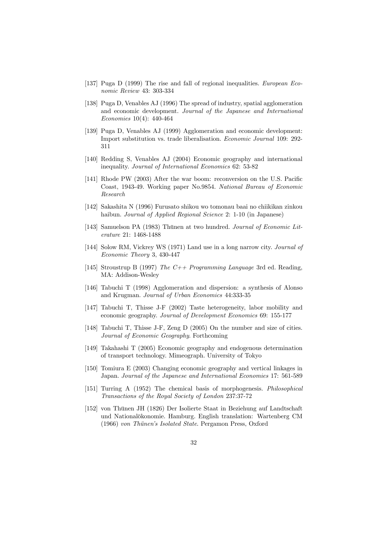- [137] Puga D (1999) The rise and fall of regional inequalities. European Economic Review 43: 303-334
- [138] Puga D, Venables AJ (1996) The spread of industry, spatial agglomeration and economic development. Journal of the Japanese and International Economies 10(4): 440-464
- [139] Puga D, Venables AJ (1999) Agglomeration and economic development: Import substitution vs. trade liberalisation. Economic Journal 109: 292- 311
- [140] Redding S, Venables AJ (2004) Economic geography and international inequality. Journal of International Economics 62: 53-82
- [141] Rhode PW (2003) After the war boom: reconversion on the U.S. Pacific Coast, 1943-49. Working paper No.9854. National Bureau of Economic Research
- [142] Sakashita N (1996) Furusato shikou wo tomonau baai no chiikikan zinkou haibun. Journal of Applied Regional Science 2: 1-10 (in Japanese)
- [143] Samuelson PA (1983) Thünen at two hundred. Journal of Economic Literature 21: 1468-1488
- [144] Solow RM, Vickrey WS (1971) Land use in a long narrow city. Journal of Economic Theory 3, 430-447
- [145] Stroustrup B (1997) The  $C++$  Programming Language 3rd ed. Reading, MA: Addison-Wesley
- [146] Tabuchi T (1998) Agglomeration and dispersion: a synthesis of Alonso and Krugman. Journal of Urban Economics 44:333-35
- [147] Tabuchi T, Thisse J-F (2002) Taste heterogeneity, labor mobility and economic geography. Journal of Development Economics 69: 155-177
- [148] Tabuchi T, Thisse J-F, Zeng D (2005) On the number and size of cities. Journal of Economic Geography. Forthcoming
- [149] Takahashi T (2005) Economic geography and endogenous determination of transport technology. Mimeograph. University of Tokyo
- [150] Tomiura E (2003) Changing economic geography and vertical linkages in Japan. Journal of the Japanese and International Economies 17: 561-589
- [151] Turring A (1952) The chemical basis of morphogenesis. Philosophical Transactions of the Royal Society of London 237:37-72
- [152] von Thünen JH (1826) Der Isolierte Staat in Beziehung auf Landtschaft und Nationalökonomie. Hamburg. English translation: Wartenberg CM (1966) von Thünen's Isolated State. Pergamon Press, Oxford